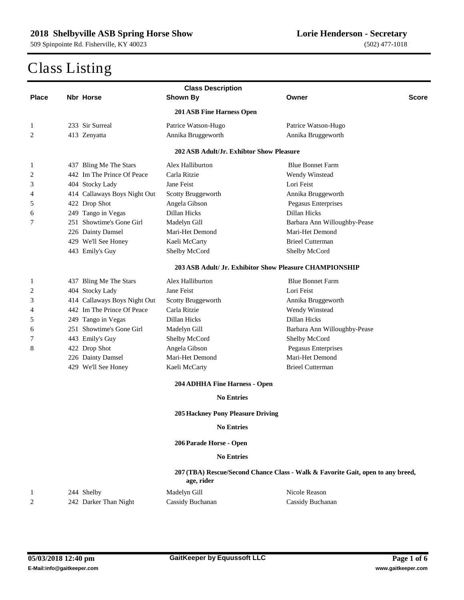|              | <b>Class Description</b> |                              |                                                               |                                                                                 |  |  |
|--------------|--------------------------|------------------------------|---------------------------------------------------------------|---------------------------------------------------------------------------------|--|--|
| <b>Place</b> |                          | <b>Nbr Horse</b>             | <b>Shown By</b>                                               | Owner<br><b>Score</b>                                                           |  |  |
|              |                          |                              | 201 ASB Fine Harness Open                                     |                                                                                 |  |  |
| 1            |                          | 233 Sir Surreal              | Patrice Watson-Hugo                                           | Patrice Watson-Hugo                                                             |  |  |
| 2            |                          | 413 Zenyatta                 | Annika Bruggeworth                                            | Annika Bruggeworth                                                              |  |  |
|              |                          |                              | 202 ASB Adult/Jr. Exhibtor Show Pleasure                      |                                                                                 |  |  |
| 1            |                          | 437 Bling Me The Stars       | Alex Halliburton                                              | <b>Blue Bonnet Farm</b>                                                         |  |  |
| 2            |                          | 442 Im The Prince Of Peace   | Carla Ritzie                                                  | Wendy Winstead                                                                  |  |  |
| 3            |                          | 404 Stocky Lady              | Jane Feist                                                    | Lori Feist                                                                      |  |  |
| 4            |                          | 414 Callaways Boys Night Out | Scotty Bruggeworth                                            | Annika Bruggeworth                                                              |  |  |
| 5            |                          | 422 Drop Shot                | Angela Gibson                                                 | Pegasus Enterprises                                                             |  |  |
| 6            |                          | 249 Tango in Vegas           | Dillan Hicks                                                  | Dillan Hicks                                                                    |  |  |
| 7            |                          | 251 Showtime's Gone Girl     | Madelyn Gill                                                  | Barbara Ann Willoughby-Pease                                                    |  |  |
|              |                          | 226 Dainty Damsel            | Mari-Het Demond                                               | Mari-Het Demond                                                                 |  |  |
|              |                          | 429 We'll See Honey          | Kaeli McCarty                                                 | <b>Brieel Cutterman</b>                                                         |  |  |
|              |                          | 443 Emily's Guy              | Shelby McCord                                                 | Shelby McCord                                                                   |  |  |
|              |                          |                              |                                                               | 203 ASB Adult/ Jr. Exhibitor Show Pleasure CHAMPIONSHIP                         |  |  |
| 1            |                          | 437 Bling Me The Stars       | Alex Halliburton                                              | <b>Blue Bonnet Farm</b>                                                         |  |  |
| 2            |                          | 404 Stocky Lady              | Jane Feist                                                    | Lori Feist                                                                      |  |  |
| 3            |                          | 414 Callaways Boys Night Out | Scotty Bruggeworth                                            | Annika Bruggeworth                                                              |  |  |
| 4            |                          | 442 Im The Prince Of Peace   | Carla Ritzie                                                  | Wendy Winstead                                                                  |  |  |
| 5            |                          | 249 Tango in Vegas           | Dillan Hicks                                                  | Dillan Hicks                                                                    |  |  |
| 6            |                          | 251 Showtime's Gone Girl     | Madelyn Gill                                                  | Barbara Ann Willoughby-Pease                                                    |  |  |
| 7            |                          | 443 Emily's Guy              | Shelby McCord                                                 | Shelby McCord                                                                   |  |  |
| 8            |                          | 422 Drop Shot                | Angela Gibson                                                 | Pegasus Enterprises                                                             |  |  |
|              |                          | 226 Dainty Damsel            | Mari-Het Demond                                               | Mari-Het Demond                                                                 |  |  |
|              |                          | 429 We'll See Honey          | Kaeli McCarty                                                 | <b>Brieel Cutterman</b>                                                         |  |  |
|              |                          |                              |                                                               |                                                                                 |  |  |
|              |                          |                              | 204 ADHHA Fine Harness - Open<br><b>No Entries</b>            |                                                                                 |  |  |
|              |                          |                              |                                                               |                                                                                 |  |  |
|              |                          |                              | <b>205 Hackney Pony Pleasure Driving</b><br><b>No Entries</b> |                                                                                 |  |  |
|              |                          |                              |                                                               |                                                                                 |  |  |
|              |                          |                              | 206 Parade Horse - Open                                       |                                                                                 |  |  |
|              |                          |                              | <b>No Entries</b>                                             |                                                                                 |  |  |
|              |                          |                              | age, rider                                                    | 207 (TBA) Rescue/Second Chance Class - Walk & Favorite Gait, open to any breed, |  |  |
| $\mathbf{1}$ |                          | 244 Shelby                   | Madelyn Gill                                                  | Nicole Reason                                                                   |  |  |
| 2            |                          | 242 Darker Than Night        | Cassidy Buchanan                                              | Cassidy Buchanan                                                                |  |  |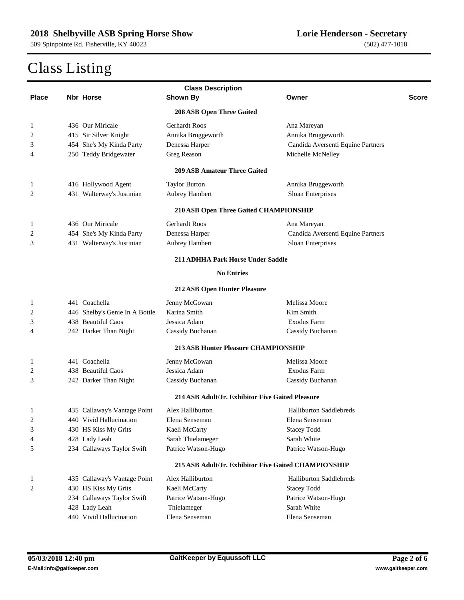| <b>Class Description</b> |  |                                |                                                  |                                                      |              |
|--------------------------|--|--------------------------------|--------------------------------------------------|------------------------------------------------------|--------------|
| <b>Place</b>             |  | <b>Nbr Horse</b>               | <b>Shown By</b>                                  | Owner                                                | <b>Score</b> |
|                          |  |                                | 208 ASB Open Three Gaited                        |                                                      |              |
| 1                        |  | 436 Our Miricale               | <b>Gerhardt Roos</b>                             | Ana Mareyan                                          |              |
| 2                        |  | 415 Sir Silver Knight          | Annika Bruggeworth                               | Annika Bruggeworth                                   |              |
| 3                        |  | 454 She's My Kinda Party       | Denessa Harper                                   | Candida Aversenti Equine Partners                    |              |
| 4                        |  | 250 Teddy Bridgewater          | Greg Reason                                      | Michelle McNelley                                    |              |
|                          |  |                                | <b>209 ASB Amateur Three Gaited</b>              |                                                      |              |
| 1                        |  | 416 Hollywood Agent            | <b>Taylor Burton</b>                             | Annika Bruggeworth                                   |              |
| 2                        |  | 431 Walterway's Justinian      | Aubrey Hambert                                   | Sloan Enterprises                                    |              |
|                          |  |                                | 210 ASB Open Three Gaited CHAMPIONSHIP           |                                                      |              |
| 1                        |  | 436 Our Miricale               | <b>Gerhardt Roos</b>                             | Ana Mareyan                                          |              |
| 2                        |  | 454 She's My Kinda Party       | Denessa Harper                                   | Candida Aversenti Equine Partners                    |              |
| 3                        |  | 431 Walterway's Justinian      | Aubrey Hambert                                   | Sloan Enterprises                                    |              |
|                          |  |                                | <b>211 ADHHA Park Horse Under Saddle</b>         |                                                      |              |
|                          |  |                                | <b>No Entries</b>                                |                                                      |              |
|                          |  |                                | 212 ASB Open Hunter Pleasure                     |                                                      |              |
| 1                        |  | 441 Coachella                  | Jenny McGowan                                    | Melissa Moore                                        |              |
| 2                        |  | 446 Shelby's Genie In A Bottle | Karina Smith                                     | Kim Smith                                            |              |
| 3                        |  | 438 Beautiful Caos             | Jessica Adam                                     | Exodus Farm                                          |              |
| 4                        |  | 242 Darker Than Night          | Cassidy Buchanan                                 | Cassidy Buchanan                                     |              |
|                          |  |                                | <b>213 ASB Hunter Pleasure CHAMPIONSHIP</b>      |                                                      |              |
| 1                        |  | 441 Coachella                  | Jenny McGowan                                    | Melissa Moore                                        |              |
| 2                        |  | 438 Beautiful Caos             | Jessica Adam                                     | Exodus Farm                                          |              |
| 3                        |  | 242 Darker Than Night          | Cassidy Buchanan                                 | Cassidy Buchanan                                     |              |
|                          |  |                                | 214 ASB Adult/Jr. Exhibitor Five Gaited Pleasure |                                                      |              |
| 1                        |  | 435 Callaway's Vantage Point   | Alex Halliburton                                 | <b>Halliburton Saddlebreds</b>                       |              |
| 2                        |  | 440 Vivid Hallucination        | Elena Senseman                                   | Elena Senseman                                       |              |
| 3                        |  | 430 HS Kiss My Grits           | Kaeli McCarty                                    | <b>Stacey Todd</b>                                   |              |
| 4                        |  | 428 Lady Leah                  | Sarah Thielameger                                | Sarah White                                          |              |
| 5                        |  | 234 Callaways Taylor Swift     | Patrice Watson-Hugo                              | Patrice Watson-Hugo                                  |              |
|                          |  |                                |                                                  | 215 ASB Adult/Jr. Exhibitor Five Gaited CHAMPIONSHIP |              |
| 1                        |  | 435 Callaway's Vantage Point   | Alex Halliburton                                 | <b>Halliburton Saddlebreds</b>                       |              |
| 2                        |  | 430 HS Kiss My Grits           | Kaeli McCarty                                    | <b>Stacey Todd</b>                                   |              |
|                          |  | 234 Callaways Taylor Swift     | Patrice Watson-Hugo                              | Patrice Watson-Hugo                                  |              |
|                          |  | 428 Lady Leah                  | Thielameger                                      | Sarah White                                          |              |
|                          |  | 440 Vivid Hallucination        | Elena Senseman                                   | Elena Senseman                                       |              |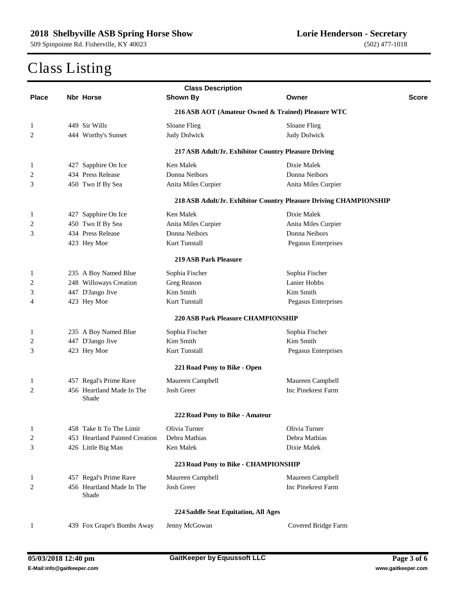| <b>Class Description</b> |  |                                    |                                                      |                                                                   |       |
|--------------------------|--|------------------------------------|------------------------------------------------------|-------------------------------------------------------------------|-------|
| <b>Place</b>             |  | Nbr Horse                          | <b>Shown By</b>                                      | Owner                                                             | Score |
|                          |  |                                    | 216 ASB AOT (Amateur Owned & Trained) Pleasure WTC   |                                                                   |       |
| 1                        |  | 449 Sir Wills                      | Sloane Flieg                                         | Sloane Flieg                                                      |       |
| 2                        |  | 444 Worthy's Sunset                | <b>Judy Dolwick</b>                                  | <b>Judy Dolwick</b>                                               |       |
|                          |  |                                    | 217 ASB Adult/Jr. Exhibitor Country Pleasure Driving |                                                                   |       |
| $\mathbf{1}$             |  | 427 Sapphire On Ice                | Ken Malek                                            | Dixie Malek                                                       |       |
| 2                        |  | 434 Press Release                  | Donna Neibors                                        | Donna Neibors                                                     |       |
| 3                        |  | 450 Two If By Sea                  | Anita Miles Curpier                                  | Anita Miles Curpier                                               |       |
|                          |  |                                    |                                                      | 218 ASB Adult/Jr. Exhibitor Country Pleasure Driving CHAMPIONSHIP |       |
| 1                        |  | 427 Sapphire On Ice                | Ken Malek                                            | Dixie Malek                                                       |       |
| 2                        |  | 450 Two If By Sea                  | Anita Miles Curpier                                  | Anita Miles Curpier                                               |       |
| 3                        |  | 434 Press Release                  | Donna Neibors                                        | Donna Neibors                                                     |       |
|                          |  | 423 Hey Moe                        | Kurt Tunstall                                        | Pegasus Enterprises                                               |       |
|                          |  |                                    | <b>219 ASB Park Pleasure</b>                         |                                                                   |       |
| 1                        |  | 235 A Boy Named Blue               | Sophia Fischer                                       | Sophia Fischer                                                    |       |
| 2                        |  | 248 Willoways Creation             | Greg Reason                                          | Lanier Hobbs                                                      |       |
| 3                        |  | 447 D'Jango Jive                   | Kim Smith                                            | Kim Smith                                                         |       |
| 4                        |  | 423 Hey Moe                        | Kurt Tunstall                                        | Pegasus Enterprises                                               |       |
|                          |  |                                    | <b>220 ASB Park Pleasure CHAMPIONSHIP</b>            |                                                                   |       |
| 1                        |  | 235 A Boy Named Blue               | Sophia Fischer                                       | Sophia Fischer                                                    |       |
| 2                        |  | 447 D'Jango Jive                   | Kim Smith                                            | Kim Smith                                                         |       |
| 3                        |  | 423 Hey Moe                        | Kurt Tunstall                                        | Pegasus Enterprises                                               |       |
|                          |  |                                    | 221 Road Pony to Bike - Open                         |                                                                   |       |
| 1                        |  | 457 Regal's Prime Rave             | Maureen Campbell                                     | Maureen Campbell                                                  |       |
| $\overline{c}$           |  | 456 Heartland Made In The          | Josh Greer                                           | Inc Pinekrest Farm                                                |       |
|                          |  | Shade                              |                                                      |                                                                   |       |
|                          |  |                                    | 222 Road Pony to Bike - Amateur                      |                                                                   |       |
| $\mathbf{1}$             |  | 458 Take It To The Limit           | Olivia Turner                                        | Olivia Turner                                                     |       |
| $\overline{c}$           |  | 453 Heartland Painted Creation     | Debra Mathias                                        | Debra Mathias                                                     |       |
| 3                        |  | 426 Little Big Man                 | Ken Malek                                            | Dixie Malek                                                       |       |
|                          |  |                                    | 223 Road Pony to Bike - CHAMPIONSHIP                 |                                                                   |       |
| 1                        |  | 457 Regal's Prime Rave             | Maureen Campbell                                     | Maureen Campbell                                                  |       |
| 2                        |  | 456 Heartland Made In The<br>Shade | Josh Greer                                           | Inc Pinekrest Farm                                                |       |
|                          |  |                                    | 224 Saddle Seat Equitation, All Ages                 |                                                                   |       |
| $\mathbf{1}$             |  | 439 Fox Grape's Bombs Away         | Jenny McGowan                                        | Covered Bridge Farm                                               |       |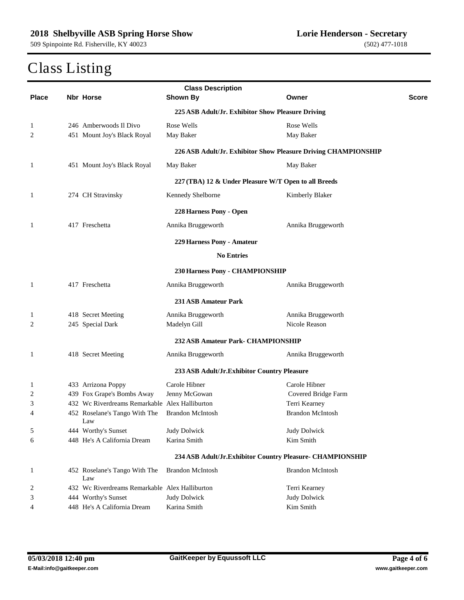| <b>Class Description</b> |  |                                                |                                                                |                         |              |
|--------------------------|--|------------------------------------------------|----------------------------------------------------------------|-------------------------|--------------|
| <b>Place</b>             |  | <b>Nbr Horse</b>                               | <b>Shown By</b>                                                | Owner                   | <b>Score</b> |
|                          |  |                                                | 225 ASB Adult/Jr. Exhibitor Show Pleasure Driving              |                         |              |
| 1                        |  | 246 Amberwoods Il Divo                         | Rose Wells                                                     | Rose Wells              |              |
| 2                        |  | 451 Mount Joy's Black Royal                    | May Baker                                                      | May Baker               |              |
|                          |  |                                                | 226 ASB Adult/Jr. Exhibitor Show Pleasure Driving CHAMPIONSHIP |                         |              |
| 1                        |  | 451 Mount Joy's Black Royal                    | May Baker                                                      | May Baker               |              |
|                          |  |                                                | 227 (TBA) 12 & Under Pleasure W/T Open to all Breeds           |                         |              |
| 1                        |  | 274 CH Stravinsky                              | Kennedy Shelborne                                              | Kimberly Blaker         |              |
|                          |  |                                                | 228 Harness Pony - Open                                        |                         |              |
| 1                        |  | 417 Freschetta                                 | Annika Bruggeworth                                             | Annika Bruggeworth      |              |
|                          |  |                                                | 229 Harness Pony - Amateur                                     |                         |              |
|                          |  |                                                | <b>No Entries</b>                                              |                         |              |
|                          |  |                                                | 230 Harness Pony - CHAMPIONSHIP                                |                         |              |
| 1                        |  | 417 Freschetta                                 | Annika Bruggeworth                                             | Annika Bruggeworth      |              |
|                          |  |                                                | 231 ASB Amateur Park                                           |                         |              |
| $\mathbf{1}$             |  | 418 Secret Meeting                             | Annika Bruggeworth                                             | Annika Bruggeworth      |              |
| $\overline{c}$           |  | 245 Special Dark                               | Madelyn Gill                                                   | Nicole Reason           |              |
|                          |  |                                                | 232 ASB Amateur Park- CHAMPIONSHIP                             |                         |              |
| 1                        |  | 418 Secret Meeting                             | Annika Bruggeworth                                             | Annika Bruggeworth      |              |
|                          |  |                                                | 233 ASB Adult/Jr. Exhibitor Country Pleasure                   |                         |              |
| 1                        |  | 433 Arrizona Poppy                             | Carole Hibner                                                  | Carole Hibner           |              |
| 2                        |  | 439 Fox Grape's Bombs Away                     | Jenny McGowan                                                  | Covered Bridge Farm     |              |
| 3                        |  | 432 Wc Riverdreams Remarkable Alex Halliburton |                                                                | Terri Kearney           |              |
| 4                        |  | 452 Roselane's Tango With The<br>Law           | <b>Brandon McIntosh</b>                                        | <b>Brandon McIntosh</b> |              |
| 5                        |  | 444 Worthy's Sunset                            | <b>Judy Dolwick</b>                                            | <b>Judy Dolwick</b>     |              |
| 6                        |  | 448 He's A California Dream                    | Karina Smith                                                   | Kim Smith               |              |
|                          |  |                                                | 234 ASB Adult/Jr.Exhibitor Country Pleasure- CHAMPIONSHIP      |                         |              |
| 1                        |  | 452 Roselane's Tango With The<br>Law           | <b>Brandon McIntosh</b>                                        | <b>Brandon McIntosh</b> |              |
| $\overline{\mathbf{c}}$  |  | 432 Wc Riverdreams Remarkable Alex Halliburton |                                                                | Terri Kearney           |              |
| 3                        |  | 444 Worthy's Sunset                            | <b>Judy Dolwick</b>                                            | <b>Judy Dolwick</b>     |              |
| 4                        |  | 448 He's A California Dream                    | Karina Smith                                                   | Kim Smith               |              |
|                          |  |                                                |                                                                |                         |              |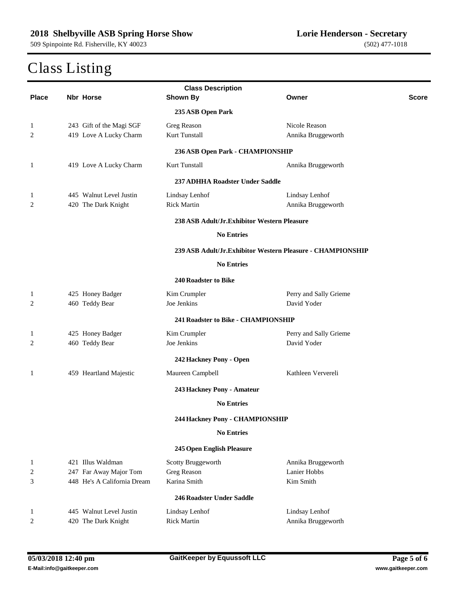| <b>Class Description</b> |                           |                             |                                                            |                        |              |  |
|--------------------------|---------------------------|-----------------------------|------------------------------------------------------------|------------------------|--------------|--|
| <b>Place</b>             |                           | Nbr Horse                   | <b>Shown By</b>                                            | Owner                  | <b>Score</b> |  |
|                          |                           |                             | 235 ASB Open Park                                          |                        |              |  |
| 1                        |                           | 243 Gift of the Magi SGF    | Greg Reason                                                | Nicole Reason          |              |  |
| 2                        |                           | 419 Love A Lucky Charm      | Kurt Tunstall                                              | Annika Bruggeworth     |              |  |
|                          |                           |                             | 236 ASB Open Park - CHAMPIONSHIP                           |                        |              |  |
| 1                        |                           | 419 Love A Lucky Charm      | Kurt Tunstall                                              | Annika Bruggeworth     |              |  |
|                          |                           |                             | 237 ADHHA Roadster Under Saddle                            |                        |              |  |
| $\mathbf{1}$             |                           | 445 Walnut Level Justin     | Lindsay Lenhof                                             | Lindsay Lenhof         |              |  |
| $\overline{c}$           |                           | 420 The Dark Knight         | <b>Rick Martin</b>                                         | Annika Bruggeworth     |              |  |
|                          |                           |                             | 238 ASB Adult/Jr.Exhibitor Western Pleasure                |                        |              |  |
|                          |                           |                             | <b>No Entries</b>                                          |                        |              |  |
|                          |                           |                             | 239 ASB Adult/Jr.Exhibitor Western Pleasure - CHAMPIONSHIP |                        |              |  |
|                          |                           |                             | <b>No Entries</b>                                          |                        |              |  |
|                          |                           |                             | 240 Roadster to Bike                                       |                        |              |  |
| $\mathbf{1}$             |                           | 425 Honey Badger            | Kim Crumpler                                               | Perry and Sally Grieme |              |  |
| 2                        |                           | 460 Teddy Bear              | Joe Jenkins                                                | David Yoder            |              |  |
|                          |                           |                             | 241 Roadster to Bike - CHAMPIONSHIP                        |                        |              |  |
| 1                        |                           | 425 Honey Badger            | Kim Crumpler                                               | Perry and Sally Grieme |              |  |
| 2                        |                           | 460 Teddy Bear              | Joe Jenkins                                                | David Yoder            |              |  |
|                          |                           |                             | 242 Hackney Pony - Open                                    |                        |              |  |
| 1                        |                           | 459 Heartland Majestic      | Maureen Campbell                                           | Kathleen Ververeli     |              |  |
|                          |                           |                             | 243 Hackney Pony - Amateur                                 |                        |              |  |
|                          |                           |                             | <b>No Entries</b>                                          |                        |              |  |
|                          |                           |                             | 244 Hackney Pony - CHAMPIONSHIP                            |                        |              |  |
|                          |                           |                             | <b>No Entries</b>                                          |                        |              |  |
|                          | 245 Open English Pleasure |                             |                                                            |                        |              |  |
| $\mathbf{1}$             |                           | 421 Illus Waldman           | Scotty Bruggeworth                                         | Annika Bruggeworth     |              |  |
| $\overline{2}$           |                           | 247 Far Away Major Tom      | Greg Reason                                                | Lanier Hobbs           |              |  |
| 3                        |                           | 448 He's A California Dream | Karina Smith                                               | Kim Smith              |              |  |
|                          |                           |                             | 246 Roadster Under Saddle                                  |                        |              |  |
| 1                        |                           | 445 Walnut Level Justin     | Lindsay Lenhof                                             | Lindsay Lenhof         |              |  |
| $\overline{c}$           |                           | 420 The Dark Knight         | <b>Rick Martin</b>                                         | Annika Bruggeworth     |              |  |
|                          |                           |                             |                                                            |                        |              |  |